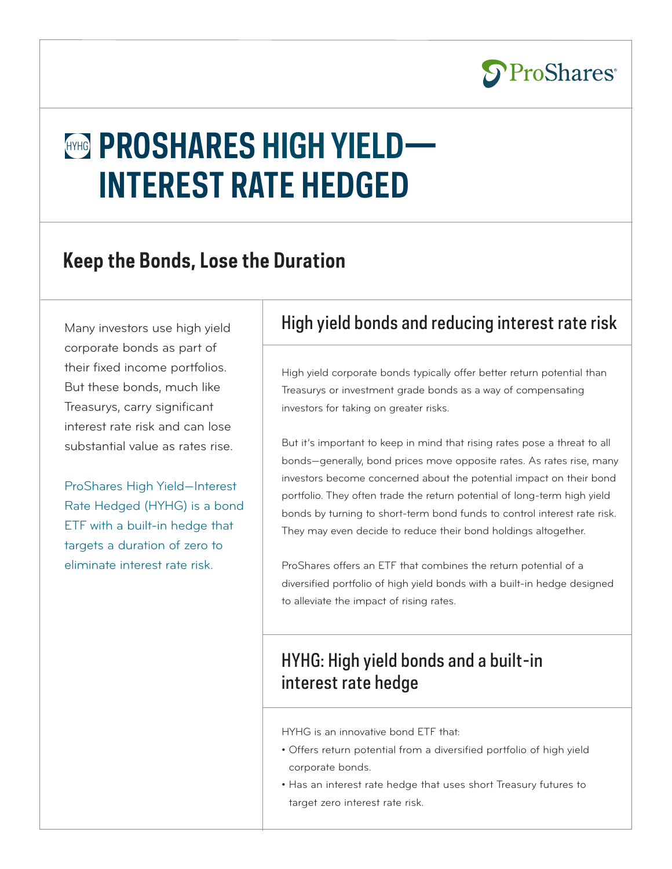

# **HYHG PROSHARES HIGH YIELD— INTEREST RATE HEDGED**

## **Keep the Bonds, Lose the Duration**

Many investors use high yield corporate bonds as part of their fixed income portfolios. But these bonds, much like Treasurys, carry significant interest rate risk and can lose substantial value as rates rise.

ProShares High Yield—Interest Rate Hedged (HYHG) is a bond ETF with a built-in hedge that targets a duration of zero to eliminate interest rate risk.

### High yield bonds and reducing interest rate risk

High yield corporate bonds typically offer better return potential than Treasurys or investment grade bonds as a way of compensating investors for taking on greater risks.

But it's important to keep in mind that rising rates pose a threat to all bonds—generally, bond prices move opposite rates. As rates rise, many investors become concerned about the potential impact on their bond portfolio. They often trade the return potential of long-term high yield bonds by turning to short-term bond funds to control interest rate risk. They may even decide to reduce their bond holdings altogether.

ProShares offers an ETF that combines the return potential of a diversified portfolio of high yield bonds with a built-in hedge designed to alleviate the impact of rising rates.

### HYHG: High yield bonds and a built-in interest rate hedge

HYHG is an innovative bond ETF that:

- Offers return potential from a diversified portfolio of high yield corporate bonds.
- Has an interest rate hedge that uses short Treasury futures to target zero interest rate risk.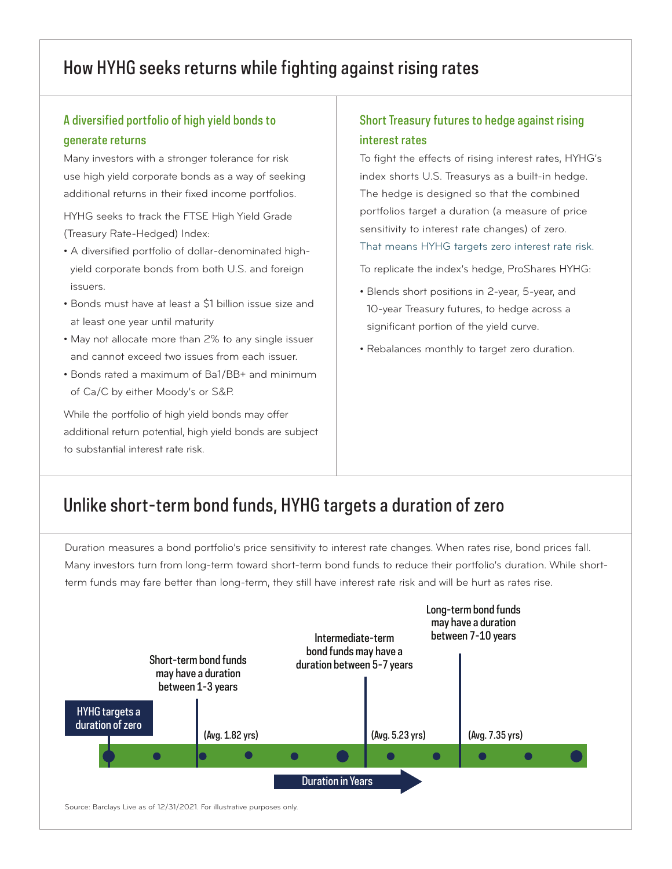### How HYHG seeks returns while fighting against rising rates

### A diversified portfolio of high yield bonds to generate returns

Many investors with a stronger tolerance for risk use high yield corporate bonds as a way of seeking additional returns in their fixed income portfolios.

HYHG seeks to track the FTSE High Yield Grade (Treasury Rate-Hedged) Index:

- A diversified portfolio of dollar-denominated highyield corporate bonds from both U.S. and foreign issuers.
- Bonds must have at least a \$1 billion issue size and at least one year until maturity
- May not allocate more than 2% to any single issuer and cannot exceed two issues from each issuer.
- Bonds rated a maximum of Ba1/BB+ and minimum of Ca/C by either Moody's or S&P.

While the portfolio of high yield bonds may offer additional return potential, high yield bonds are subject to substantial interest rate risk.

#### Short Treasury futures to hedge against rising interest rates

To fight the effects of rising interest rates, HYHG's index shorts U.S. Treasurys as a built-in hedge. The hedge is designed so that the combined portfolios target a duration (a measure of price sensitivity to interest rate changes) of zero.

That means HYHG targets zero interest rate risk.

To replicate the index's hedge, ProShares HYHG:

- Blends short positions in 2-year, 5-year, and 10-year Treasury futures, to hedge across a significant portion of the yield curve.
- Rebalances monthly to target zero duration.

### Unlike short-term bond funds, HYHG targets a duration of zero

Duration measures a bond portfolio's price sensitivity to interest rate changes. When rates rise, bond prices fall. Many investors turn from long-term toward short-term bond funds to reduce their portfolio's duration. While shortterm funds may fare better than long-term, they still have interest rate risk and will be hurt as rates rise.

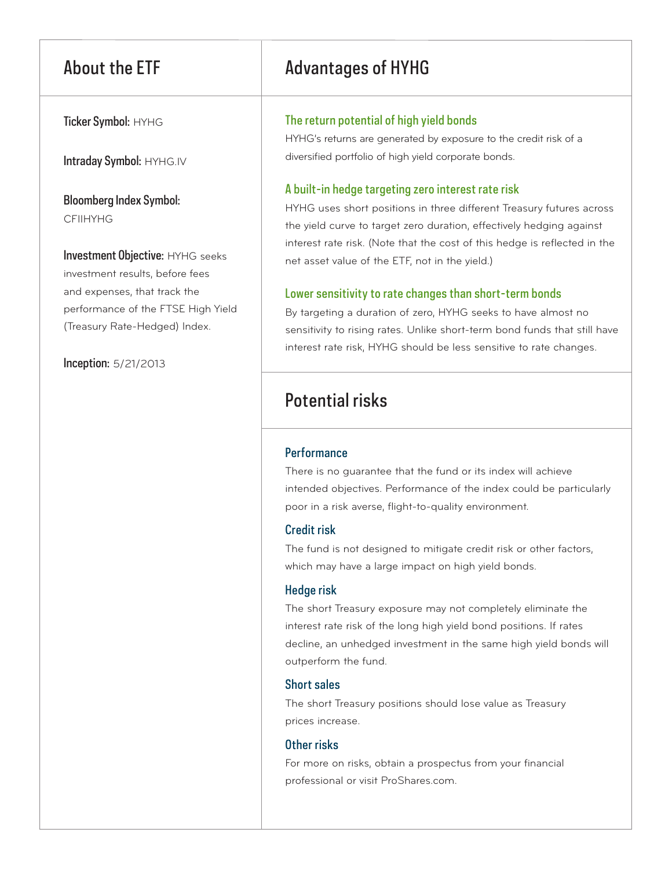Ticker Symbol: HYHG

Intraday Symbol: HYHG.IV

Bloomberg Index Symbol: CFIIHYHG

Investment Objective: HYHG seeks investment results, before fees and expenses, that track the performance of the FTSE High Yield (Treasury Rate-Hedged) Index.

Inception: 5/21/2013

### About the ETF Advantages of HYHG

#### The return potential of high yield bonds

HYHG's returns are generated by exposure to the credit risk of a diversified portfolio of high yield corporate bonds.

#### A built-in hedge targeting zero interest rate risk

HYHG uses short positions in three different Treasury futures across the yield curve to target zero duration, effectively hedging against interest rate risk. (Note that the cost of this hedge is reflected in the net asset value of the ETF, not in the yield.)

#### Lower sensitivity to rate changes than short-term bonds

By targeting a duration of zero, HYHG seeks to have almost no sensitivity to rising rates. Unlike short-term bond funds that still have interest rate risk, HYHG should be less sensitive to rate changes.

### Potential risks

#### **Performance**

There is no guarantee that the fund or its index will achieve intended objectives. Performance of the index could be particularly poor in a risk averse, flight-to-quality environment.

#### Credit risk

The fund is not designed to mitigate credit risk or other factors, which may have a large impact on high yield bonds.

#### Hedge risk

The short Treasury exposure may not completely eliminate the interest rate risk of the long high yield bond positions. If rates decline, an unhedged investment in the same high yield bonds will outperform the fund.

#### Short sales

The short Treasury positions should lose value as Treasury prices increase.

#### Other risks

For more on risks, obtain a prospectus from your financial professional or visit ProShares.com.